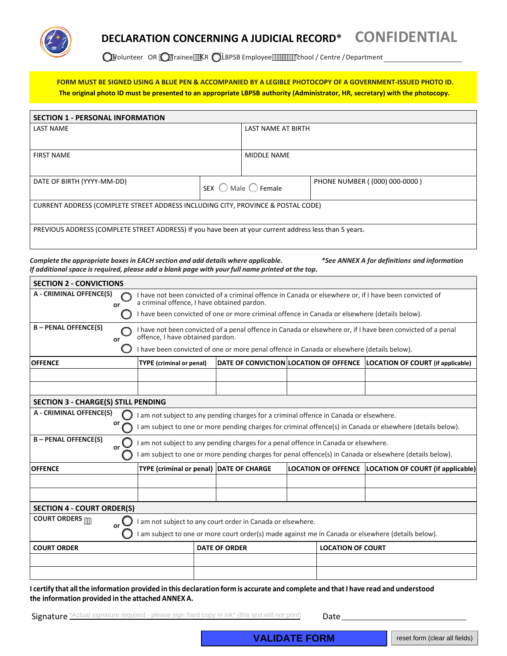

## **DECLARATION CONCERNING A JUDICIAL RECORD\* CONFIDENTIAL**

QVolunteer OR QTrainee<sup>11</sup>\R QLBPSB Employee<sup>11111111</sup>1112000 / Centre / Department

**FORM MUST BE SIGNED USING A BLUE PEN & ACCOMPANIED BY A LEGIBLE PHOTOCOPY OF A GOVERNMENT-ISSUED PHOTO ID. The original photo ID must be presented to an appropriate LBPSB authority (Administrator, HR, secretary) with the photocopy.**

| <b>SECTION 1 - PERSONAL INFORMATION</b>                                                                |        |                           |                               |  |  |  |
|--------------------------------------------------------------------------------------------------------|--------|---------------------------|-------------------------------|--|--|--|
| <b>LAST NAME</b>                                                                                       |        | <b>LAST NAME AT BIRTH</b> |                               |  |  |  |
|                                                                                                        |        |                           |                               |  |  |  |
| <b>FIRST NAME</b>                                                                                      |        | <b>MIDDLE NAME</b>        |                               |  |  |  |
|                                                                                                        |        |                           |                               |  |  |  |
| DATE OF BIRTH (YYYY-MM-DD)                                                                             | SEX () | Male $\bigcirc$ Female    | PHONE NUMBER ((000) 000-0000) |  |  |  |
| CURRENT ADDRESS (COMPLETE STREET ADDRESS INCLUDING CITY, PROVINCE & POSTAL CODE)                       |        |                           |                               |  |  |  |
| PREVIOUS ADDRESS (COMPLETE STREET ADDRESS) If you have been at your current address less than 5 years. |        |                           |                               |  |  |  |

*Complete the appropriate boxesin EACH section and add details where applicable. \*See ANNEX A for definitions and information If additional space is required, please add a blank page with your full name printed at the top.*

| <b>SECTION 2 - CONVICTIONS</b>                                                                                                                                                                 |                                            |                                                                                                                                                                                                                                                        |  |                      |  |                          |                                                                            |  |
|------------------------------------------------------------------------------------------------------------------------------------------------------------------------------------------------|--------------------------------------------|--------------------------------------------------------------------------------------------------------------------------------------------------------------------------------------------------------------------------------------------------------|--|----------------------|--|--------------------------|----------------------------------------------------------------------------|--|
| A - CRIMINAL OFFENCE(S)<br>or                                                                                                                                                                  |                                            | I have not been convicted of a criminal offence in Canada or elsewhere or, if I have been convicted of<br>a criminal offence, I have obtained pardon.<br>I have been convicted of one or more criminal offence in Canada or elsewhere (details below). |  |                      |  |                          |                                                                            |  |
| <b>B-PENAL OFFENCE(S)</b><br>or                                                                                                                                                                |                                            | I have not been convicted of a penal offence in Canada or elsewhere or, if I have been convicted of a penal<br>offence, I have obtained pardon.<br>have been convicted of one or more penal offence in Canada or elsewhere (details below).            |  |                      |  |                          |                                                                            |  |
| <b>OFFENCE</b>                                                                                                                                                                                 |                                            | <b>TYPE</b> (criminal or penal)                                                                                                                                                                                                                        |  |                      |  |                          | DATE OF CONVICTION LOCATION OF OFFENCE   LOCATION OF COURT (if applicable) |  |
|                                                                                                                                                                                                |                                            |                                                                                                                                                                                                                                                        |  |                      |  |                          |                                                                            |  |
|                                                                                                                                                                                                | <b>SECTION 3 - CHARGE(S) STILL PENDING</b> |                                                                                                                                                                                                                                                        |  |                      |  |                          |                                                                            |  |
| A - CRIMINAL OFFENCE(S)<br>or                                                                                                                                                                  |                                            | I am not subject to any pending charges for a criminal offence in Canada or elsewhere.<br>am subject to one or more pending charges for criminal offence(s) in Canada or elsewhere (details below).                                                    |  |                      |  |                          |                                                                            |  |
| <b>B-PENAL OFFENCE(S)</b><br>$_{\rm or}$                                                                                                                                                       |                                            | am not subject to any pending charges for a penal offence in Canada or elsewhere.<br>am subject to one or more pending charges for penal offence(s) in Canada or elsewhere (details below).                                                            |  |                      |  |                          |                                                                            |  |
| <b>OFFENCE</b>                                                                                                                                                                                 |                                            | TYPE (criminal or penal) DATE OF CHARGE                                                                                                                                                                                                                |  |                      |  |                          | LOCATION OF OFFENCE   LOCATION OF COURT (if applicable)                    |  |
|                                                                                                                                                                                                |                                            |                                                                                                                                                                                                                                                        |  |                      |  |                          |                                                                            |  |
| <b>SECTION 4 - COURT ORDER(S)</b>                                                                                                                                                              |                                            |                                                                                                                                                                                                                                                        |  |                      |  |                          |                                                                            |  |
| <b>COURT ORDERS ···</b><br>am not subject to any court order in Canada or elsewhere.<br>or<br>am subject to one or more court order(s) made against me in Canada or elsewhere (details below). |                                            |                                                                                                                                                                                                                                                        |  |                      |  |                          |                                                                            |  |
| <b>COURT ORDER</b>                                                                                                                                                                             |                                            |                                                                                                                                                                                                                                                        |  | <b>DATE OF ORDER</b> |  | <b>LOCATION OF COURT</b> |                                                                            |  |
|                                                                                                                                                                                                |                                            |                                                                                                                                                                                                                                                        |  |                      |  |                          |                                                                            |  |
|                                                                                                                                                                                                |                                            |                                                                                                                                                                                                                                                        |  |                      |  |                          |                                                                            |  |

**I certify that allthe information provided in this declaration form is accurate and complete and thatI have read and understood the information provided in the attached ANNEX A.** 

Signature \*Actual signature required - please sign hard copy in ink\* (this text will not print) **Date**<br> **VALIDATE FORM** reset form (clear all fields)